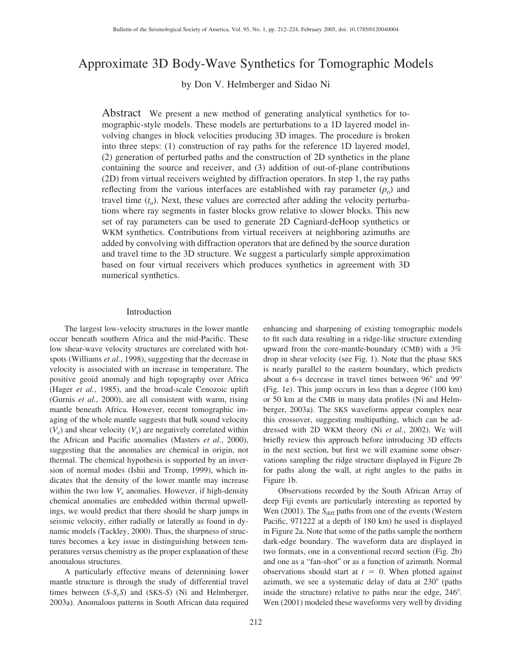# Approximate 3D Body-Wave Synthetics for Tomographic Models

by Don V. Helmberger and Sidao Ni

Abstract We present a new method of generating analytical synthetics for tomographic-style models. These models are perturbations to a 1D layered model involving changes in block velocities producing 3D images. The procedure is broken into three steps: (1) construction of ray paths for the reference 1D layered model, (2) generation of perturbed paths and the construction of 2D synthetics in the plane containing the source and receiver, and (3) addition of out-of-plane contributions (2D) from virtual receivers weighted by diffraction operators. In step 1, the ray paths reflecting from the various interfaces are established with ray parameter  $(p_0)$  and travel time  $(t_0)$ . Next, these values are corrected after adding the velocity perturbations where ray segments in faster blocks grow relative to slower blocks. This new set of ray parameters can be used to generate 2D Cagniard-deHoop synthetics or WKM synthetics. Contributions from virtual receivers at neighboring azimuths are added by convolving with diffraction operators that are defined by the source duration and travel time to the 3D structure. We suggest a particularly simple approximation based on four virtual receivers which produces synthetics in agreement with 3D numerical synthetics.

# Introduction

The largest low-velocity structures in the lower mantle occur beneath southern Africa and the mid-Pacific. These low shear-wave velocity structures are correlated with hotspots (Williams *et al.*, 1998), suggesting that the decrease in velocity is associated with an increase in temperature. The positive geoid anomaly and high topography over Africa (Hager *et al.*, 1985), and the broad-scale Cenozoic uplift (Gurnis *et al.*, 2000), are all consistent with warm, rising mantle beneath Africa. However, recent tomographic imaging of the whole mantle suggests that bulk sound velocity  $(V_c)$  and shear velocity  $(V_s)$  are negatively correlated within the African and Pacific anomalies (Masters *et al.*, 2000), suggesting that the anomalies are chemical in origin, not thermal. The chemical hypothesis is supported by an inversion of normal modes (Ishii and Tromp, 1999), which indicates that the density of the lower mantle may increase within the two low  $V_s$  anomalies. However, if high-density chemical anomalies are embedded within thermal upwellings, we would predict that there should be sharp jumps in seismic velocity, either radially or laterally as found in dynamic models (Tackley, 2000). Thus, the sharpness of structures becomes a key issue in distinguishing between temperatures versus chemistry as the proper explanation of these anomalous structures.

A particularly effective means of determining lower mantle structure is through the study of differential travel times between (*S-S<sub>c</sub>S*) and (*SKS-S*) (Ni and Helmberger, 2003a). Anomalous patterns in South African data required enhancing and sharpening of existing tomographic models to fit such data resulting in a ridge-like structure extending upward from the core-mantle-boundary (CMB) with a 3% drop in shear velocity (see Fig. 1). Note that the phase SKS is nearly parallel to the eastern boundary, which predicts about a 6-s decrease in travel times between 96° and 99° (Fig. 1e). This jump occurs in less than a degree (100 km) or 50 km at the CMB in many data profiles (Ni and Helmberger, 2003a). The SKS waveforms appear complex near this crossover, suggesting multipathing, which can be addressed with 2D WKM theory (Ni *et al.*, 2002). We will briefly review this approach before introducing 3D effects in the next section, but first we will examine some observations sampling the ridge structure displayed in Figure 2b for paths along the wall, at right angles to the paths in Figure 1b.

Observations recorded by the South African Array of deep Fiji events are particularly interesting as reported by Wen (2001). The *S*<sub>diff</sub> paths from one of the events (Western Pacific, 971222 at a depth of 180 km) he used is displayed in Figure 2a. Note that some of the paths sample the northern dark-edge boundary. The waveform data are displayed in two formats, one in a conventional record section (Fig. 2b) and one as a "fan-shot" or as a function of azimuth. Normal observations should start at  $t = 0$ . When plotted against azimuth, we see a systematic delay of data at  $230^\circ$  (paths inside the structure) relative to paths near the edge, 246<sup>°</sup>. Wen (2001) modeled these waveforms very well by dividing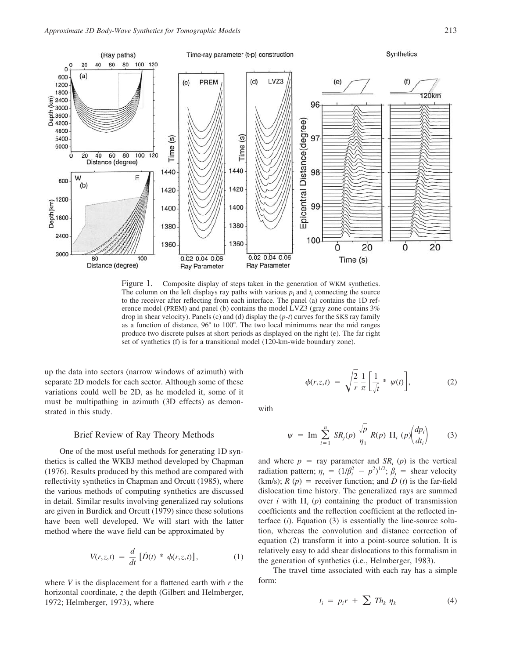

Figure 1. Composite display of steps taken in the generation of WKM synthetics. The column on the left displays ray paths with various  $p_i$  and  $t_i$  connecting the source to the receiver after reflecting from each interface. The panel (a) contains the 1D reference model (PREM) and panel (b) contains the model LVZ3 (gray zone contains 3% drop in shear velocity). Panels (c) and (d) display the (*p*-*t*) curves for the SKS ray family as a function of distance, 96° to 100°. The two local minimums near the mid ranges produce two discrete pulses at short periods as displayed on the right (e). The far right set of synthetics (f) is for a transitional model (120-km-wide boundary zone).

up the data into sectors (narrow windows of azimuth) with separate 2D models for each sector. Although some of these variations could well be 2D, as he modeled it, some of it must be multipathing in azimuth (3D effects) as demonstrated in this study.

#### Brief Review of Ray Theory Methods

One of the most useful methods for generating 1D synthetics is called the WKBJ method developed by Chapman (1976). Results produced by this method are compared with reflectivity synthetics in Chapman and Orcutt (1985), where the various methods of computing synthetics are discussed in detail. Similar results involving generalized ray solutions are given in Burdick and Orcutt (1979) since these solutions have been well developed. We will start with the latter method where the wave field can be approximated by

$$
V(r,z,t) = \frac{d}{dt} \left[ \dot{D}(t) * \phi(r,z,t) \right],\tag{1}
$$

where *V* is the displacement for a flattened earth with *r* the horizontal coordinate, *z* the depth (Gilbert and Helmberger, 1972; Helmberger, 1973), where

$$
\phi(r,z,t) = \sqrt{\frac{2}{r}} \frac{1}{\pi} \left[ \frac{1}{\sqrt{t}} * \psi(t) \right],
$$
 (2)

with

$$
\psi = \operatorname{Im} \sum_{i=1}^{n} SR_j(p) \frac{\sqrt{p}}{\eta_1} R(p) \Pi_i(p) \left(\frac{dp_i}{dt_i}\right) \tag{3}
$$

and where  $p = ray$  parameter and  $SR<sub>i</sub>(p)$  is the vertical radiation pattern;  $\eta_i = (1/\beta_i^2 - p^2)^{1/2}$ ;  $\beta_i$  = shear velocity (km/s);  $R(p)$  = receiver function; and  $\dot{D}(t)$  is the far-field dislocation time history. The generalized rays are summed over *i* with  $\Pi$  (*p*) containing the product of transmission coefficients and the reflection coefficient at the reflected interface (*i*). Equation (3) is essentially the line-source solution, whereas the convolution and distance correction of equation (2) transform it into a point-source solution. It is relatively easy to add shear dislocations to this formalism in the generation of synthetics (i.e., Helmberger, 1983).

The travel time associated with each ray has a simple form:

$$
t_i = p_i r + \sum T h_k \eta_k \tag{4}
$$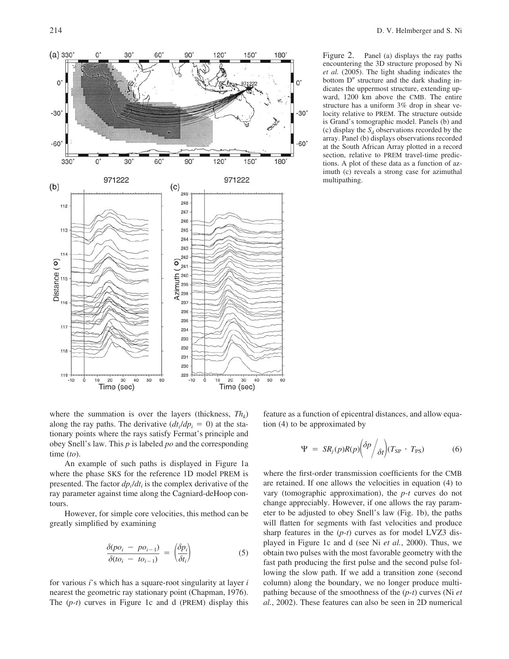

Figure 2. Panel (a) displays the ray paths encountering the 3D structure proposed by Ni *et al.* (2005). The light shading indicates the bottom  $D''$  structure and the dark shading indicates the uppermost structure, extending upward, 1200 km above the CMB. The entire structure has a uniform 3% drop in shear velocity relative to PREM. The structure outside is Grand's tomographic model. Panels (b) and (c) display the  $S_d$  observations recorded by the array. Panel (b) displays observations recorded at the South African Array plotted in a record section, relative to PREM travel-time predictions. A plot of these data as a function of azimuth (c) reveals a strong case for azimuthal multipathing.

where the summation is over the layers (thickness,  $Th_k$ ) along the ray paths. The derivative  $(dt_i/dp_i = 0)$  at the stationary points where the rays satisfy Fermat's principle and obey Snell's law. This *p* is labeled *po* and the corresponding time (*to*).

An example of such paths is displayed in Figure 1a where the phase SKS for the reference 1D model PREM is presented. The factor *dpi*/*dti* is the complex derivative of the ray parameter against time along the Cagniard-deHoop contours.

However, for simple core velocities, this method can be greatly simplified by examining

$$
\frac{\delta(po_i - po_{i-1})}{\delta(to_i - to_{i-1})} = \left(\frac{\delta p_i}{\delta t_i}\right)
$$
\n(5)

for various *i*'s which has a square-root singularity at layer *i* nearest the geometric ray stationary point (Chapman, 1976). The (*p-t*) curves in Figure 1c and d (PREM) display this feature as a function of epicentral distances, and allow equation (4) to be approximated by

$$
\Psi = SR_j(p)R(p) \left( \frac{\delta p}{\delta t} \right) (T_{SP} \cdot T_{PS}) \tag{6}
$$

where the first-order transmission coefficients for the CMB are retained. If one allows the velocities in equation (4) to vary (tomographic approximation), the *p-t* curves do not change appreciably. However, if one allows the ray parameter to be adjusted to obey Snell's law (Fig. 1b), the paths will flatten for segments with fast velocities and produce sharp features in the (*p-t*) curves as for model LVZ3 displayed in Figure 1c and d (see Ni *et al.*, 2000). Thus, we obtain two pulses with the most favorable geometry with the fast path producing the first pulse and the second pulse following the slow path. If we add a transition zone (second column) along the boundary, we no longer produce multipathing because of the smoothness of the (*p*-*t*) curves (Ni *et al.*, 2002). These features can also be seen in 2D numerical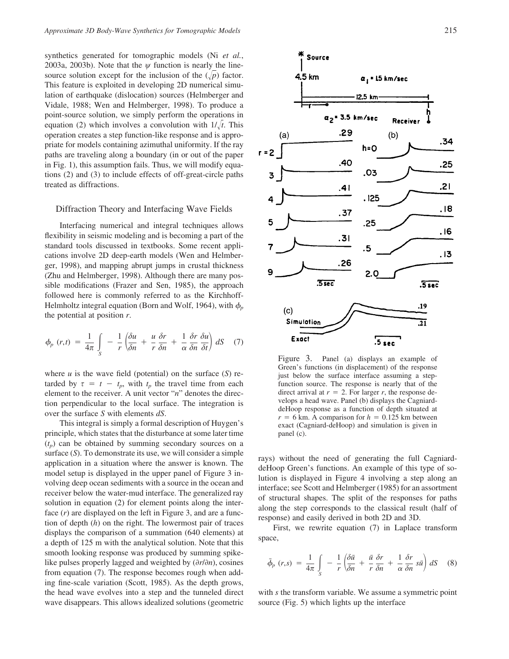synthetics generated for tomographic models (Ni *et al.*, 2003a, 2003b). Note that the  $\psi$  function is nearly the linesource solution except for the inclusion of the  $(\sqrt{p})$  factor. This feature is exploited in developing 2D numerical simulation of earthquake (dislocation) sources (Helmberger and Vidale, 1988; Wen and Helmberger, 1998). To produce a point-source solution, we simply perform the operations in equation (2) which involves a convolution with  $1/\sqrt{t}$ . This operation creates a step function-like response and is appropriate for models containing azimuthal uniformity. If the ray paths are traveling along a boundary (in or out of the paper in Fig. 1), this assumption fails. Thus, we will modify equations (2) and (3) to include effects of off-great-circle paths treated as diffractions.

### Diffraction Theory and Interfacing Wave Fields

Interfacing numerical and integral techniques allows flexibility in seismic modeling and is becoming a part of the standard tools discussed in textbooks. Some recent applications involve 2D deep-earth models (Wen and Helmberger, 1998), and mapping abrupt jumps in crustal thickness (Zhu and Helmberger, 1998). Although there are many possible modifications (Frazer and Sen, 1985), the approach followed here is commonly referred to as the Kirchhoff-Helmholtz integral equation (Born and Wolf, 1964), with  $\phi_p$ the potential at position *r*.

$$
\phi_p(r,t) = \frac{1}{4\pi} \int_{S} -\frac{1}{r} \left( \frac{\delta u}{\delta n} + \frac{u}{r} \frac{\delta r}{\delta n} + \frac{1}{\alpha} \frac{\delta r}{\delta n} \frac{\delta u}{\delta t} \right) dS \quad (7)
$$

where  $u$  is the wave field (potential) on the surface  $(S)$  retarded by  $\tau = t - t_p$ , with  $t_p$  the travel time from each element to the receiver. A unit vector "*n*" denotes the direction perpendicular to the local surface. The integration is over the surface *S* with elements *dS*.

This integral is simply a formal description of Huygen's principle, which states that the disturbance at some later time  $(t_n)$  can be obtained by summing secondary sources on a surface (*S*). To demonstrate its use, we will consider a simple application in a situation where the answer is known. The model setup is displayed in the upper panel of Figure 3 involving deep ocean sediments with a source in the ocean and receiver below the water-mud interface. The generalized ray solution in equation (2) for element points along the interface (*r*) are displayed on the left in Figure 3, and are a function of depth (*h*) on the right. The lowermost pair of traces displays the comparison of a summation (640 elements) at a depth of 125 m with the analytical solution. Note that this smooth looking response was produced by summing spikelike pulses properly lagged and weighted by  $(\partial r / \partial n)$ , cosines from equation (7). The response becomes rough when adding fine-scale variation (Scott, 1985). As the depth grows, the head wave evolves into a step and the tunneled direct wave disappears. This allows idealized solutions (geometric



Figure 3. Panel (a) displays an example of Green's functions (in displacement) of the response just below the surface interface assuming a stepfunction source. The response is nearly that of the direct arrival at  $r = 2$ . For larger *r*, the response develops a head wave. Panel (b) displays the CagniarddeHoop response as a function of depth situated at  $r = 6$  km. A comparison for  $h = 0.125$  km between exact (Cagniard-deHoop) and simulation is given in panel (c).

rays) without the need of generating the full CagniarddeHoop Green's functions. An example of this type of solution is displayed in Figure 4 involving a step along an interface; see Scott and Helmberger (1985) for an assortment of structural shapes. The split of the responses for paths along the step corresponds to the classical result (half of response) and easily derived in both 2D and 3D.

First, we rewrite equation (7) in Laplace transform space,

$$
\bar{\phi}_p(r,s) = \frac{1}{4\pi} \int\limits_S -\frac{1}{r} \left( \frac{\partial \bar{u}}{\partial n} + \frac{\bar{u}}{r} \frac{\partial r}{\partial n} + \frac{1}{\alpha} \frac{\partial r}{\partial n} s \bar{u} \right) dS \quad (8)
$$

with *s* the transform variable. We assume a symmetric point source (Fig. 5) which lights up the interface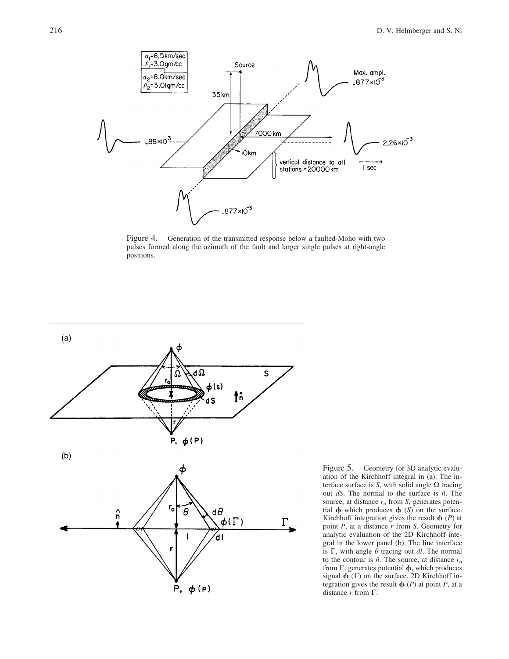

Figure 4. Generation of the transmitted response below a faulted-Moho with two pulses formed along the azimuth of the fault and larger single pulses at right-angle positions.



Figure 5. Geometry for 3D analytic evaluation of the Kirchhoff integral in (a). The interface surface is  $S$ , with solid angle  $\Omega$  tracing out *dS*. The normal to the surface is *nˆ*. The source, at distance  $r_0$  from *S*, generates potential  $\phi$  which produces  $\phi$  (*S*) on the surface. Kirchhoff integration gives the result  $\phi$  (*P*) at point *P*, at a distance *r* from *S*. Geometry for analytic evaluation of the 2D Kirchhoff integral in the lower panel (b). The line interface is  $\Gamma$ , with angle  $\theta$  tracing out *dl*. The normal to the contour is  $\hat{n}$ . The source, at distance  $r_0$ from  $\Gamma$ , generates potential  $\phi$ , which produces signal  $\phi$  ( $\Gamma$ ) on the surface. 2D Kirchhoff integration gives the result  $\phi$  (*P*) at point *P*, at a distance  $r$  from  $\Gamma$ .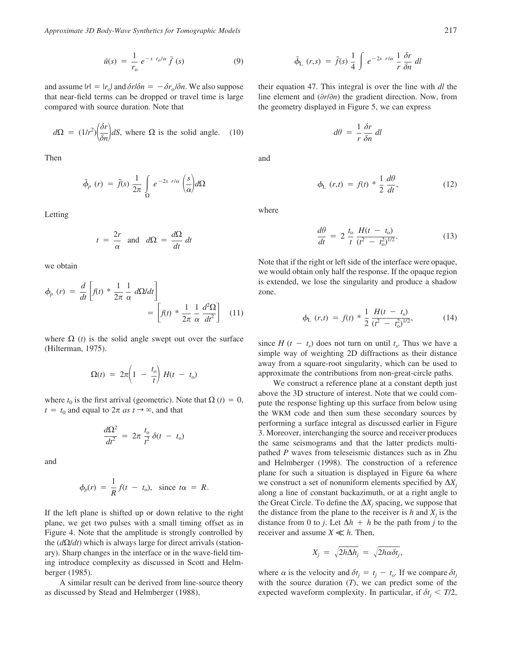*Approximate 3D Body-Wave Synthetics for Tomographic Models* 217

$$
\bar{u}(s) = \frac{1}{r_o} e^{-s r_o/\alpha} \bar{f}(s)
$$
\n(9)

and assume  $|r| = |r_0|$  and  $\delta r/\delta n = -\delta r_0/\delta n$ . We also suppose that near-field terms can be dropped or travel time is large compared with source duration. Note that

$$
d\Omega = (1/r^2) \left(\frac{\delta r}{\delta n}\right) dS
$$
, where  $\Omega$  is the solid angle. (10)

Then

$$
\bar{\phi}_p(r) = \bar{f}(s) \frac{1}{2\pi} \int_{\Omega} e^{-2s \ r/\alpha} \left(\frac{s}{\alpha}\right) d\Omega
$$

Letting

$$
t = \frac{2r}{\alpha}
$$
 and  $d\Omega = \frac{d\Omega}{dt} dt$ 

we obtain

$$
\phi_p(r) = \frac{d}{dt} \left[ f(t) * \frac{1}{2\pi} \frac{1}{\alpha} d\Omega/dt \right]
$$

$$
= \left[ f(t) * \frac{1}{2\pi} \frac{1}{\alpha} \frac{d^2\Omega}{dt^2} \right] (11)
$$

where  $\Omega$  (*t*) is the solid angle swept out over the surface (Hilterman, 1975).

$$
\Omega(t) = 2\pi \left(1 - \frac{t_0}{t}\right)H(t - t_0)
$$

where  $t_0$  is the first arrival (geometric). Note that  $\Omega(t) = 0$ ,  $t = t_0$  and equal to  $2\pi$  *as*  $t \rightarrow \infty$ , and that

$$
\frac{d\Omega^2}{dt^2} = 2\pi \frac{t_o}{t^2} \delta(t - t_o)
$$

and

$$
\phi_p(r) = \frac{1}{R} f(t - t_o), \text{ since } t\alpha = R.
$$

If the left plane is shifted up or down relative to the right plane, we get two pulses with a small timing offset as in Figure 4. Note that the amplitude is strongly controlled by the  $(d\Omega/dt)$  which is always large for direct arrivals (stationary). Sharp changes in the interface or in the wave-field timing introduce complexity as discussed in Scott and Helmberger (1985).

A similar result can be derived from line-source theory as discussed by Stead and Helmberger (1988),

$$
\bar{\phi}_{\rm L} \ (r,s) \ = \ \bar{f}(s) \ \frac{1}{4} \int \ e^{-2s \ r/\alpha} \ \frac{1}{r} \ \frac{\delta r}{\delta n} \ dl
$$

their equation 47. This integral is over the line with *dl* the line element and  $\left(\frac{\partial r}{\partial n}\right)$  the gradient direction. Now, from the geometry displayed in Figure 5, we can express

$$
d\theta = \frac{1}{r} \frac{\delta r}{\delta n} dl
$$

and

$$
\phi_{\rm L} \left( r, t \right) \ = \ f(t) \ * \ \frac{1}{2} \ \frac{d\theta}{dt}, \tag{12}
$$

where

$$
\frac{d\theta}{dt} = 2 \frac{t_o}{t} \frac{H(t - t_o)}{(t^2 - t_o^2)^{1/2}}.
$$
\n(13)

Note that if the right or left side of the interface were opaque, we would obtain only half the response. If the opaque region is extended, we lose the singularity and produce a shadow zone.

$$
\phi_{\rm L}(r,t) = f(t) * \frac{1}{2} \frac{H(t - t_{\rm s})}{(t^2 - t_0^2)^{1/2}},\tag{14}
$$

since  $H(t - t_s)$  does not turn on until  $t_s$ . Thus we have a simple way of weighting 2D diffractions as their distance away from a square-root singularity, which can be used to approximate the contributions from non-great-circle paths.

We construct a reference plane at a constant depth just above the 3D structure of interest. Note that we could compute the response lighting up this surface from below using the WKM code and then sum these secondary sources by performing a surface integral as discussed earlier in Figure 3. Moreover, interchanging the source and receiver produces the same seismograms and that the latter predicts multipathed *P* waves from teleseismic distances such as in Zhu and Helmberger (1998). The construction of a reference plane for such a situation is displayed in Figure 6a where we construct a set of nonuniform elements specified by  $\Delta X_i$ along a line of constant backazimuth, or at a right angle to the Great Circle. To define the  $\Delta X_i$  spacing, we suppose that the distance from the plane to the receiver is  $h$  and  $X_i$  is the distance from 0 to *j*. Let  $\Delta h + h$  be the path from *j* to the receiver and assume  $X \ll h$ . Then,

$$
X_j = \sqrt{2h\Delta h_j} = \sqrt{2h\alpha\delta t_j},
$$

where  $\alpha$  is the velocity and  $\delta t_j = t_j - t_o$ . If we compare  $\delta t_j$ with the source duration (*T*), we can predict some of the expected waveform complexity. In particular, if  $\delta t_j < T/2$ ,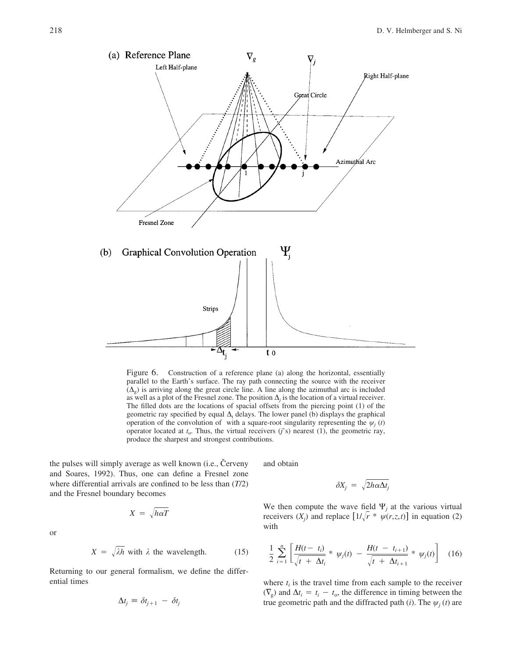

Figure 6. Construction of a reference plane (a) along the horizontal, essentially parallel to the Earth's surface. The ray path connecting the source with the receiver  $(\Delta_{\varphi})$  is arriving along the great circle line. A line along the azimuthal arc is included as well as a plot of the Fresnel zone. The position  $\Delta_i$  is the location of a virtual receiver. The filled dots are the locations of spacial offsets from the piercing point (1) of the geometric ray specified by equal  $\Delta_t$  delays. The lower panel (b) displays the graphical operation of the convolution of with a square-root singularity representing the  $\psi_i(t)$ operator located at  $t_0$ . Thus, the virtual receivers (*j*'s) nearest (1), the geometric ray, produce the sharpest and strongest contributions.

the pulses will simply average as well known (i.e., Cerveny and Soares, 1992). Thus, one can define a Fresnel zone where differential arrivals are confined to be less than (*T*/2) and the Fresnel boundary becomes

 $X = \sqrt{h\alpha T}$ 

$$
\sum_{i=1}^{n} x_i
$$

$$
X = \sqrt{\lambda h} \text{ with } \lambda \text{ the wavelength.} \tag{15}
$$

Returning to our general formalism, we define the differential times

$$
\Delta t_j \equiv \delta t_{j+1} - \delta t_j
$$

and obtain

$$
\delta X_j = \sqrt{2h\alpha\Delta t_j}
$$

We then compute the wave field  $\Psi_i$  at the various virtual receivers  $(X_j)$  and replace  $\left[\frac{1}{r} * \psi(r, z, t)\right]$  in equation (2) with

$$
\frac{1}{2} \sum_{i=1}^{n} \left[ \frac{H(t-t_i)}{\sqrt{t + \Delta t_i}} * \psi_j(t) - \frac{H(t-t_{i+1})}{\sqrt{t + \Delta t_{i+1}}} * \psi_j(t) \right]
$$
(16)

where  $t_i$  is the travel time from each sample to the receiver  $(\nabla_g)$  and  $\Delta t_i = t_i - t_o$ , the difference in timing between the true geometric path and the diffracted path (*i*). The  $\psi_i(t)$  are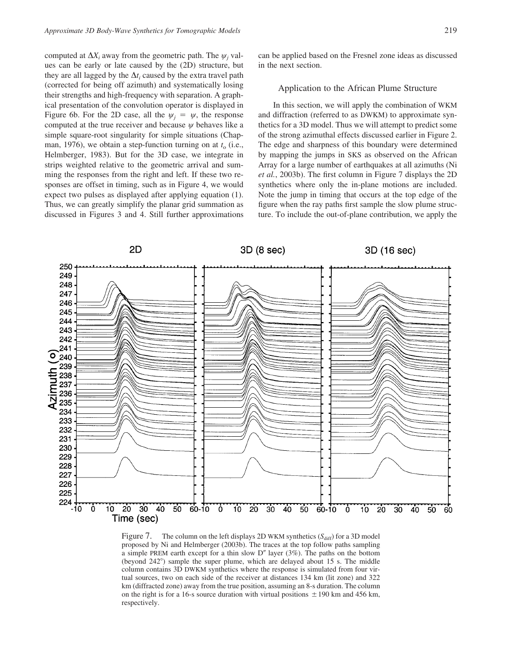computed at  $\Delta X_i$  away from the geometric path. The  $\psi_i$  values can be early or late caused by the (2D) structure, but they are all lagged by the  $\Delta t_i$  caused by the extra travel path (corrected for being off azimuth) and systematically losing their strengths and high-frequency with separation. A graphical presentation of the convolution operator is displayed in Figure 6b. For the 2D case, all the  $\psi_i = \psi$ , the response computed at the true receiver and because  $\psi$  behaves like a simple square-root singularity for simple situations (Chapman, 1976), we obtain a step-function turning on at  $t<sub>o</sub>$  (i.e., Helmberger, 1983). But for the 3D case, we integrate in strips weighted relative to the geometric arrival and summing the responses from the right and left. If these two responses are offset in timing, such as in Figure 4, we would expect two pulses as displayed after applying equation (1). Thus, we can greatly simplify the planar grid summation as discussed in Figures 3 and 4. Still further approximations can be applied based on the Fresnel zone ideas as discussed in the next section.

## Application to the African Plume Structure

In this section, we will apply the combination of WKM and diffraction (referred to as DWKM) to approximate synthetics for a 3D model. Thus we will attempt to predict some of the strong azimuthal effects discussed earlier in Figure 2. The edge and sharpness of this boundary were determined by mapping the jumps in SKS as observed on the African Array for a large number of earthquakes at all azimuths (Ni *et al.*, 2003b). The first column in Figure 7 displays the 2D synthetics where only the in-plane motions are included. Note the jump in timing that occurs at the top edge of the figure when the ray paths first sample the slow plume structure. To include the out-of-plane contribution, we apply the



Figure 7. The column on the left displays 2D WKM synthetics  $(S_{\text{diff}})$  for a 3D model proposed by Ni and Helmberger (2003b). The traces at the top follow paths sampling a simple PREM earth except for a thin slow  $D''$  layer (3%). The paths on the bottom (beyond 242) sample the super plume, which are delayed about 15 s. The middle column contains 3D DWKM synthetics where the response is simulated from four virtual sources, two on each side of the receiver at distances 134 km (lit zone) and 322 km (diffracted zone) away from the true position, assuming an 8-s duration. The column on the right is for a 16-s source duration with virtual positions  $\pm 190$  km and 456 km, respectively.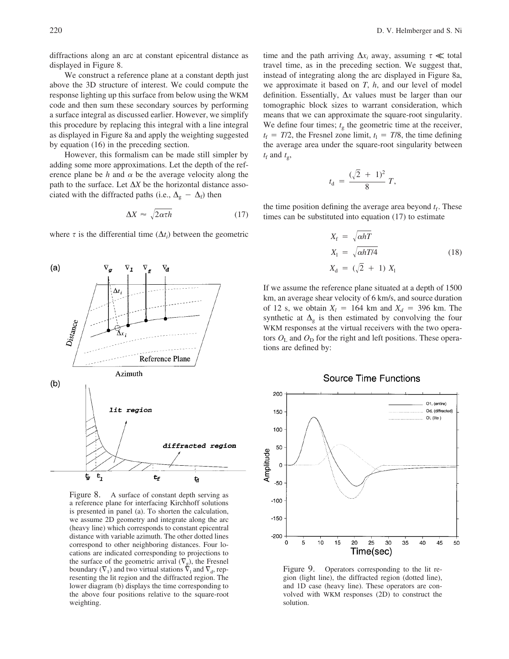diffractions along an arc at constant epicentral distance as displayed in Figure 8.

We construct a reference plane at a constant depth just above the 3D structure of interest. We could compute the response lighting up this surface from below using the WKM code and then sum these secondary sources by performing a surface integral as discussed earlier. However, we simplify this procedure by replacing this integral with a line integral as displayed in Figure 8a and apply the weighting suggested by equation (16) in the preceding section.

However, this formalism can be made still simpler by adding some more approximations. Let the depth of the reference plane be  $h$  and  $\alpha$  be the average velocity along the path to the surface. Let  $\Delta X$  be the horizontal distance associated with the diffracted paths (i.e.,  $\Delta_{\rm g} - \Delta_{\rm f}$ ) then

$$
\Delta X \approx \sqrt{2\alpha \tau h} \tag{17}
$$

where  $\tau$  is the differential time  $(\Delta t_i)$  between the geometric



Figure 8. A surface of constant depth serving as a reference plane for interfacing Kirchhoff solutions is presented in panel (a). To shorten the calculation, we assume 2D geometry and integrate along the arc (heavy line) which corresponds to constant epicentral distance with variable azimuth. The other dotted lines correspond to other neighboring distances. Four locations are indicated corresponding to projections to the surface of the geometric arrival  $(\nabla_g)$ , the Fresnel boundary  $(\nabla_1)$  and two virtual stations  $\tilde{\nabla}_1$  and  $\nabla_d$ , representing the lit region and the diffracted region. The lower diagram (b) displays the time corresponding to the above four positions relative to the square-root weighting.

time and the path arriving  $\Delta x_i$  away, assuming  $\tau \ll$  total travel time, as in the preceding section. We suggest that, instead of integrating along the arc displayed in Figure 8a, we approximate it based on *T*, *h*, and our level of model definition. Essentially,  $\Delta x$  values must be larger than our tomographic block sizes to warrant consideration, which means that we can approximate the square-root singularity. We define four times;  $t<sub>g</sub>$  the geometric time at the receiver,  $t_f = T/2$ , the Fresnel zone limit,  $t_1 = T/8$ , the time defining the average area under the square-root singularity between  $t_f$  and  $t_g$ ,

$$
t_{\rm d} = \frac{(\sqrt{2} + 1)^2}{8} T,
$$

the time position defining the average area beyond  $t_f$ . These times can be substituted into equation (17) to estimate

$$
X_{\rm f} = \sqrt{\alpha hT}
$$
  
\n
$$
X_{\rm l} = \sqrt{\alpha hT/4}
$$
  
\n
$$
X_{\rm d} = (\sqrt{2} + 1) X_{\rm l}
$$
\n(18)

If we assume the reference plane situated at a depth of 1500 km, an average shear velocity of 6 km/s, and source duration of 12 s, we obtain  $X_l = 164$  km and  $X_d = 396$  km. The synthetic at  $\Delta_{g}$  is then estimated by convolving the four WKM responses at the virtual receivers with the two operators  $O_{\rm L}$  and  $O_{\rm D}$  for the right and left positions. These operations are defined by:

## **Source Time Functions**



Figure 9. Operators corresponding to the lit region (light line), the diffracted region (dotted line), and 1D case (heavy line). These operators are convolved with WKM responses (2D) to construct the solution.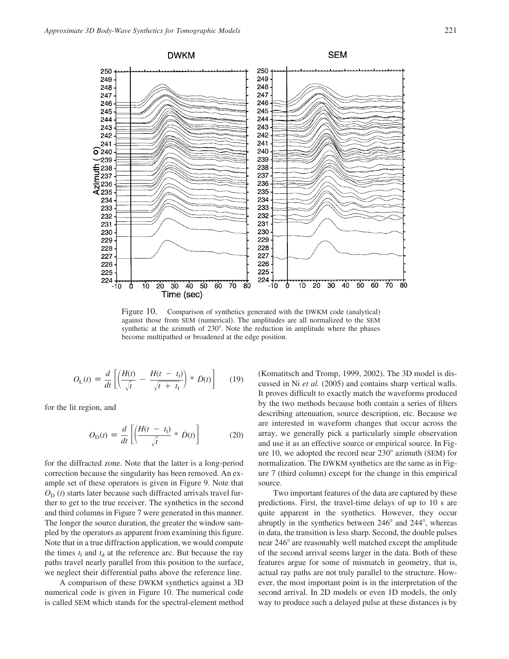

Figure 10. Comparison of synthetics generated with the DWKM code (analytical) against those from SEM (numerical). The amplitudes are all normalized to the SEM synthetic at the azimuth of 230°. Note the reduction in amplitude where the phases become multipathed or broadened at the edge position.

$$
O_{\rm L}(t) \equiv \frac{d}{dt} \left[ \left( \frac{H(t)}{\sqrt{t}} - \frac{H(t - t_{\rm f})}{\sqrt{t + t_{\rm f}}} \right) * \dot{D}(t) \right] \tag{19}
$$

for the lit region, and

$$
O_{\rm D}(t) \equiv \frac{d}{dt} \left[ \left( \frac{H(t - t_{\rm f})}{\sqrt{t}} * \dot{D}(t) \right) \right]
$$
 (20)

for the diffracted zone. Note that the latter is a long-period correction because the singularity has been removed. An example set of these operators is given in Figure 9. Note that  $O_D(t)$  starts later because such diffracted arrivals travel further to get to the true receiver. The synthetics in the second and third columns in Figure 7 were generated in this manner. The longer the source duration, the greater the window sampled by the operators as apparent from examining this figure. Note that in a true diffraction application, we would compute the times  $t_1$  and  $t_d$  at the reference arc. But because the ray paths travel nearly parallel from this position to the surface, we neglect their differential paths above the reference line.

A comparison of these DWKM synthetics against a 3D numerical code is given in Figure 10. The numerical code is called SEM which stands for the spectral-element method (Komatitsch and Tromp, 1999, 2002). The 3D model is discussed in Ni *et al.* (2005) and contains sharp vertical walls. It proves difficult to exactly match the waveforms produced by the two methods because both contain a series of filters describing attenuation, source description, etc. Because we are interested in waveform changes that occur across the array, we generally pick a particularly simple observation and use it as an effective source or empirical source. In Figure 10, we adopted the record near  $230^\circ$  azimuth (SEM) for normalization. The DWKM synthetics are the same as in Figure 7 (third column) except for the change in this empirical source.

Two important features of the data are captured by these predictions. First, the travel-time delays of up to 10 s are quite apparent in the synthetics. However, they occur abruptly in the synthetics between  $246^{\circ}$  and  $244^{\circ}$ , whereas in data, the transition is less sharp. Second, the double pulses near 246° are reasonably well matched except the amplitude of the second arrival seems larger in the data. Both of these features argue for some of mismatch in geometry, that is, actual ray paths are not truly parallel to the structure. However, the most important point is in the interpretation of the second arrival. In 2D models or even 1D models, the only way to produce such a delayed pulse at these distances is by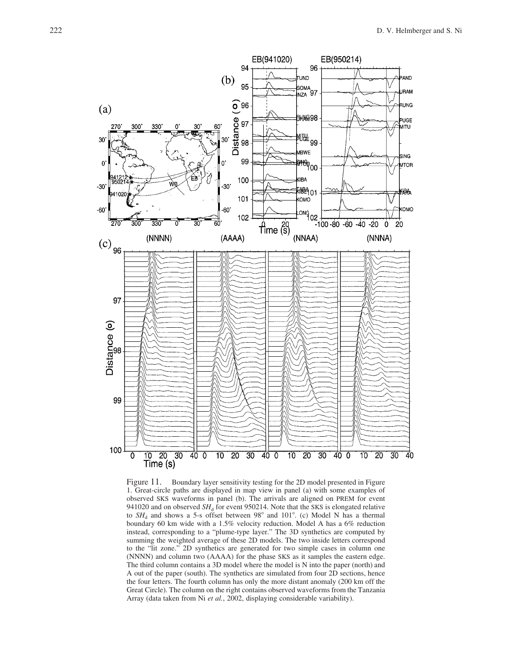

Figure 11. Boundary layer sensitivity testing for the 2D model presented in Figure 1. Great-circle paths are displayed in map view in panel (a) with some examples of observed SKS waveforms in panel (b). The arrivals are aligned on PREM for event 941020 and on observed  $SH<sub>d</sub>$  for event 950214. Note that the SKS is elongated relative to  $SH<sub>d</sub>$  and shows a 5-s offset between 98° and 101°. (c) Model N has a thermal boundary 60 km wide with a 1.5% velocity reduction. Model A has a 6% reduction instead, corresponding to a "plume-type layer." The 3D synthetics are computed by summing the weighted average of these 2D models. The two inside letters correspond to the "lit zone." 2D synthetics are generated for two simple cases in column one (NNNN) and column two (AAAA) for the phase SKS as it samples the eastern edge. The third column contains a 3D model where the model is N into the paper (north) and A out of the paper (south). The synthetics are simulated from four 2D sections, hence the four letters. The fourth column has only the more distant anomaly (200 km off the Great Circle). The column on the right contains observed waveforms from the Tanzania Array (data taken from Ni *et al.*, 2002, displaying considerable variability).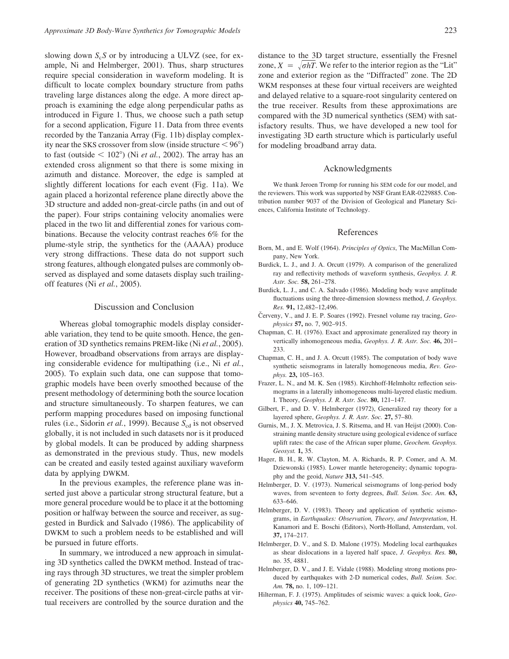slowing down *S<sub>c</sub>S* or by introducing a ULVZ (see, for example, Ni and Helmberger, 2001). Thus, sharp structures require special consideration in waveform modeling. It is difficult to locate complex boundary structure from paths traveling large distances along the edge. A more direct approach is examining the edge along perpendicular paths as introduced in Figure 1. Thus, we choose such a path setup for a second application, Figure 11. Data from three events recorded by the Tanzania Array (Fig. 11b) display complexity near the SKS crossover from slow (inside structure  $\leq 96^{\circ}$ ) to fast (outside  $\leq 102^{\circ}$ ) (Ni *et al.*, 2002). The array has an extended cross alignment so that there is some mixing in azimuth and distance. Moreover, the edge is sampled at slightly different locations for each event (Fig. 11a). We again placed a horizontal reference plane directly above the 3D structure and added non-great-circle paths (in and out of the paper). Four strips containing velocity anomalies were placed in the two lit and differential zones for various combinations. Because the velocity contrast reaches 6% for the plume-style strip, the synthetics for the (AAAA) produce very strong diffractions. These data do not support such strong features, although elongated pulses are commonly observed as displayed and some datasets display such trailingoff features (Ni *et al.*, 2005).

## Discussion and Conclusion

Whereas global tomographic models display considerable variation, they tend to be quite smooth. Hence, the generation of 3D synthetics remains PREM-like (Ni *et al.*, 2005). However, broadband observations from arrays are displaying considerable evidence for multipathing (i.e., Ni *et al.*, 2005). To explain such data, one can suppose that tomographic models have been overly smoothed because of the present methodology of determining both the source location and structure simultaneously. To sharpen features, we can perform mapping procedures based on imposing functional rules (i.e., Sidorin *et al.*, 1999). Because S<sub>cd</sub> is not observed globally, it is not included in such datasets nor is it produced by global models. It can be produced by adding sharpness as demonstrated in the previous study. Thus, new models can be created and easily tested against auxiliary waveform data by applying DWKM.

In the previous examples, the reference plane was inserted just above a particular strong structural feature, but a more general procedure would be to place it at the bottoming position or halfway between the source and receiver, as suggested in Burdick and Salvado (1986). The applicability of DWKM to such a problem needs to be established and will be pursued in future efforts.

In summary, we introduced a new approach in simulating 3D synthetics called the DWKM method. Instead of tracing rays through 3D structures, we treat the simpler problem of generating 2D synthetics (WKM) for azimuths near the receiver. The positions of these non-great-circle paths at virtual receivers are controlled by the source duration and the distance to the 3D target structure, essentially the Fresnel zone,  $X = \sqrt{\sigma hT}$ . We refer to the interior region as the "Lit" zone and exterior region as the "Diffracted" zone. The 2D WKM responses at these four virtual receivers are weighted and delayed relative to a square-root singularity centered on the true receiver. Results from these approximations are compared with the 3D numerical synthetics (SEM) with satisfactory results. Thus, we have developed a new tool for investigating 3D earth structure which is particularly useful for modeling broadband array data.

#### Acknowledgments

We thank Jeroen Tromp for running his SEM code for our model, and the reviewers. This work was supported by NSF Grant EAR-0229885. Contribution number 9037 of the Division of Geological and Planetary Sciences, California Institute of Technology.

#### References

- Born, M., and E. Wolf (1964). *Principles of Optics*, The MacMillan Company, New York.
- Burdick, L. J., and J. A. Orcutt (1979). A comparison of the generalized ray and reflectivity methods of waveform synthesis, *Geophys. J. R. Astr. Soc.* **58,** 261–278.
- Burdick, L. J., and C. A. Salvado (1986). Modeling body wave amplitude fluctuations using the three-dimension slowness method, *J. Geophys. Res.* **91,** 12,482–12,496.
- Červeny, V., and J. E. P. Soares (1992). Fresnel volume ray tracing, *Geophysics* **57,** no. 7, 902–915.
- Chapman, C. H. (1976). Exact and approximate generalized ray theory in vertically inhomogeneous media, *Geophys. J. R. Astr. Soc.* **46,** 201– 233.
- Chapman, C. H., and J. A. Orcutt (1985). The computation of body wave synthetic seismograms in laterally homogeneous media, *Rev. Geophys.* **23,** 105–163.
- Frazer, L. N., and M. K. Sen (1985). Kirchhoff-Helmholtz reflection seismograms in a laterally inhomogeneous multi-layered elastic medium. I. Theory, *Geophys. J. R. Astr. Soc.* **80,** 121–147.
- Gilbert, F., and D. V. Helmberger (1972), Generalized ray theory for a layered sphere, *Geophys. J. R. Astr. Soc.* **27,** 57–80.
- Gurnis, M., J. X. Metrovica, J. S. Ritsema, and H. van Heijst (2000). Constraining mantle density structure using geological evidence of surface uplift rates: the case of the African super plume, *Geochem. Geophys. Geosyst.* **1,** 35.
- Hager, B. H., R. W. Clayton, M. A. Richards, R. P. Comer, and A. M. Dziewonski (1985). Lower mantle heterogeneity; dynamic topography and the geoid, *Nature* **313,** 541–545.
- Helmberger, D. V. (1973). Numerical seismograms of long-period body waves, from seventeen to forty degrees, *Bull. Seism. Soc. Am.* **63,** 633–646.
- Helmberger, D. V. (1983). Theory and application of synthetic seismograms, in *Earthquakes: Observation, Theory, and Interpretation*, H. Kanamori and E. Boschi (Editors), North-Holland, Amsterdam, vol. **37,** 174–217.
- Helmberger, D. V., and S. D. Malone (1975). Modeling local earthquakes as shear dislocations in a layered half space, *J. Geophys. Res.* **80,** no. 35, 4881.
- Helmberger, D. V., and J. E. Vidale (1988). Modeling strong motions produced by earthquakes with 2-D numerical codes, *Bull. Seism. Soc. Am.* **78,** no. 1, 109–121.
- Hilterman, F. J. (1975). Amplitudes of seismic waves: a quick look, *Geophysics* **40,** 745–762.